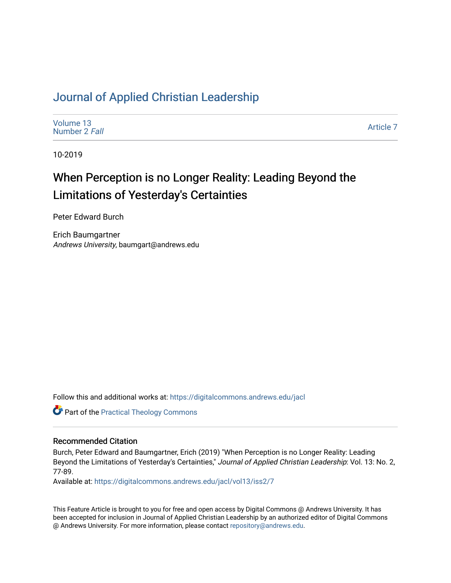## [Journal of Applied Christian Leadership](https://digitalcommons.andrews.edu/jacl)

[Volume 13](https://digitalcommons.andrews.edu/jacl/vol13) [Number 2](https://digitalcommons.andrews.edu/jacl/vol13/iss2) Fall

[Article 7](https://digitalcommons.andrews.edu/jacl/vol13/iss2/7) 

10-2019

# When Perception is no Longer Reality: Leading Beyond the Limitations of Yesterday's Certainties

Peter Edward Burch

Erich Baumgartner Andrews University, baumgart@andrews.edu

Follow this and additional works at: [https://digitalcommons.andrews.edu/jacl](https://digitalcommons.andrews.edu/jacl?utm_source=digitalcommons.andrews.edu%2Fjacl%2Fvol13%2Fiss2%2F7&utm_medium=PDF&utm_campaign=PDFCoverPages) 

Part of the [Practical Theology Commons](http://network.bepress.com/hgg/discipline/1186?utm_source=digitalcommons.andrews.edu%2Fjacl%2Fvol13%2Fiss2%2F7&utm_medium=PDF&utm_campaign=PDFCoverPages)

## Recommended Citation

Burch, Peter Edward and Baumgartner, Erich (2019) "When Perception is no Longer Reality: Leading Beyond the Limitations of Yesterday's Certainties," Journal of Applied Christian Leadership: Vol. 13: No. 2, 77-89.

Available at: [https://digitalcommons.andrews.edu/jacl/vol13/iss2/7](https://digitalcommons.andrews.edu/jacl/vol13/iss2/7?utm_source=digitalcommons.andrews.edu%2Fjacl%2Fvol13%2Fiss2%2F7&utm_medium=PDF&utm_campaign=PDFCoverPages)

This Feature Article is brought to you for free and open access by Digital Commons @ Andrews University. It has been accepted for inclusion in Journal of Applied Christian Leadership by an authorized editor of Digital Commons @ Andrews University. For more information, please contact [repository@andrews.edu](mailto:repository@andrews.edu).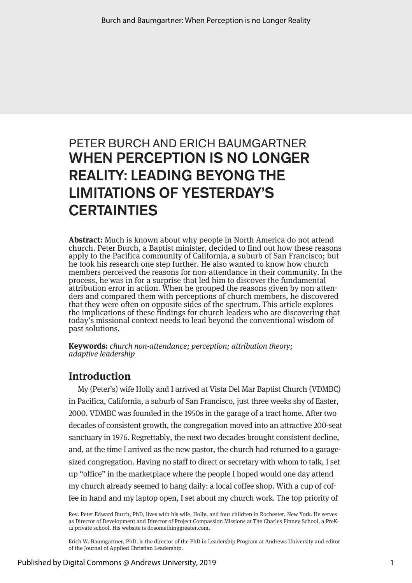## PETER BURCH AND ERICH BAUMGARTNER WHEN PERCEPTION IS NO LONGER REALITY: LEADING BEYONG THE LIMITATIONS OF YESTERDAY'S **CERTAINTIES**

**Abstract:** Much is known about why people in North America do not attend church. Peter Burch, a Baptist minister, decided to find out how these reasons apply to the Pacifica community of California, a suburb of San Francisco; but he took his research one step further. He also wanted to know how church members perceived the reasons for non-attendance in their community. In the process, he was in for a surprise that led him to discover the fundamental attribution error in action. When he grouped the reasons given by non-attenders and compared them with perceptions of church members, he discovered that they were often on opposite sides of the spectrum. This article explores the implications of these findings for church leaders who are discovering that today's missional context needs to lead beyond the conventional wisdom of past solutions.

**Keywords:** *church non-attendance; perception; attribution theory; adaptive leadership*

## **Introduction**

My (Peter's) wife Holly and I arrived at Vista Del Mar Baptist Church (VDMBC) in Pacifica, California, a suburb of San Francisco, just three weeks shy of Easter, 2000. VDMBC was founded in the 1950s in the garage of a tract home. After two decades of consistent growth, the congregation moved into an attractive 200-seat sanctuary in 1976. Regrettably, the next two decades brought consistent decline, and, at the time I arrived as the new pastor, the church had returned to a garagesized congregation. Having no staff to direct or secretary with whom to talk, I set up "office" in the marketplace where the people I hoped would one day attend my church already seemed to hang daily: a local coffee shop. With a cup of coffee in hand and my laptop open, I set about my church work. The top priority of

Rev. Peter Edward Burch, PhD, lives with his wife, Holly, and four children in Rochester, New York. He serves as Director of Development and Director of Project Compassion Missions at The Charles Finney School, a PreK-12 private school. His website is dosomethinggreater.com.

Erich W. Baumgartner, PhD, is the director of the PhD in Leadership Program at Andrews University and editor of the Journal of Applied Christian Leadership.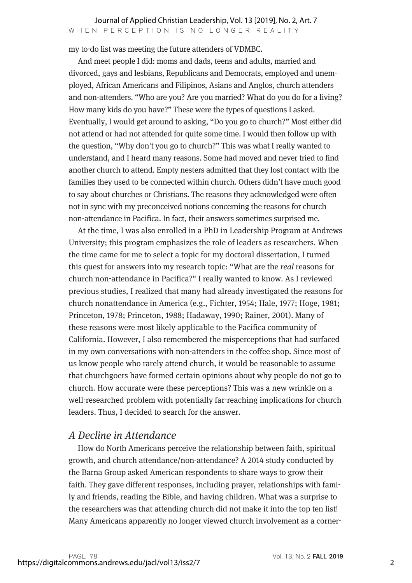my to-do list was meeting the future attenders of VDMBC.

And meet people I did: moms and dads, teens and adults, married and divorced, gays and lesbians, Republicans and Democrats, employed and unemployed, African Americans and Filipinos, Asians and Anglos, church attenders and non-attenders. "Who are you? Are you married? What do you do for a living? How many kids do you have?" These were the types of questions I asked. Eventually, I would get around to asking, "Do you go to church?" Most either did not attend or had not attended for quite some time. I would then follow up with the question, "Why don't you go to church?" This was what I really wanted to understand, and I heard many reasons. Some had moved and never tried to find another church to attend. Empty nesters admitted that they lost contact with the families they used to be connected within church. Others didn't have much good to say about churches or Christians. The reasons they acknowledged were often not in sync with my preconceived notions concerning the reasons for church non-attendance in Pacifica. In fact, their answers sometimes surprised me.

At the time, I was also enrolled in a PhD in Leadership Program at Andrews University; this program emphasizes the role of leaders as researchers. When the time came for me to select a topic for my doctoral dissertation, I turned this quest for answers into my research topic: "What are the *real* reasons for church non-attendance in Pacifica?" I really wanted to know. As I reviewed previous studies, I realized that many had already investigated the reasons for church non attendance in America (e.g., Fichter, 1954; Hale, 1977; Hoge, 1981; Princeton, 1978; Princeton, 1988; Hadaway, 1990; Rainer, 2001). Many of these reasons were most likely applicable to the Pacifica community of California. However, I also remembered the misperceptions that had surfaced in my own conversations with non-attenders in the coffee shop. Since most of us know people who rarely attend church, it would be reasonable to assume that churchgoers have formed certain opinions about why people do not go to church. How accurate were these perceptions? This was a new wrinkle on a well-researched problem with potentially far-reaching implications for church leaders. Thus, I decided to search for the answer.

## *A Decline in Attendance*

How do North Americans perceive the relationship between faith, spiritual growth, and church attendance/non-attendance? A 2014 study conducted by the Barna Group asked American respondents to share ways to grow their faith. They gave different responses, including prayer, relationships with family and friends, reading the Bible, and having children. What was a surprise to the researchers was that attending church did not make it into the top ten list! Many Americans apparently no longer viewed church involvement as a corner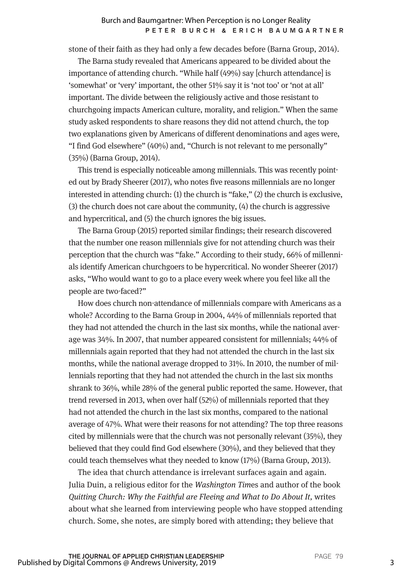stone of their faith as they had only a few decades before (Barna Group, 2014).

The Barna study revealed that Americans appeared to be divided about the importance of attending church. "While half (49%) say [church attendance] is 'somewhat' or 'very' important, the other 51% say it is 'not too' or 'not at all' important. The divide between the religiously active and those resistant to churchgoing impacts American culture, morality, and religion." When the same study asked respondents to share reasons they did not attend church, the top two explanations given by Americans of different denominations and ages were, "I find God elsewhere" (40%) and, "Church is not relevant to me personally" (35%) (Barna Group, 2014).

This trend is especially noticeable among millennials. This was recently pointed out by Brady Sheerer (2017), who notes five reasons millennials are no longer interested in attending church: (1) the church is "fake," (2) the church is exclusive, (3) the church does not care about the community, (4) the church is aggressive and hypercritical, and (5) the church ignores the big issues.

The Barna Group (2015) reported similar findings; their research discovered that the number one reason millennials give for not attending church was their perception that the church was "fake." According to their study, 66% of millennials identify American churchgoers to be hypercritical. No wonder Sheerer (2017) asks, "Who would want to go to a place every week where you feel like all the people are two-faced?"

How does church non-attendance of millennials compare with Americans as a whole? According to the Barna Group in 2004, 44% of millennials reported that they had not attended the church in the last six months, while the national average was 34%. In 2007, that number appeared consistent for millennials; 44% of millennials again reported that they had not attended the church in the last six months, while the national average dropped to 31%. In 2010, the number of millennials reporting that they had not attended the church in the last six months shrank to 36%, while 28% of the general public reported the same. However, that trend reversed in 2013, when over half (52%) of millennials reported that they had not attended the church in the last six months, compared to the national average of 47%. What were their reasons for not attending? The top three reasons cited by millennials were that the church was not personally relevant (35%), they believed that they could find God elsewhere (30%), and they believed that they could teach themselves what they needed to know (17%) (Barna Group, 2013).

The idea that church attendance is irrelevant surfaces again and again. Julia Duin, a religious editor for the *Washington Tim*es and author of the book *Quitting Church: Why the Faithful are Fleeing and What to Do About It,* writes about what she learned from interviewing people who have stopped attending church. Some, she notes, are simply bored with attending; they believe that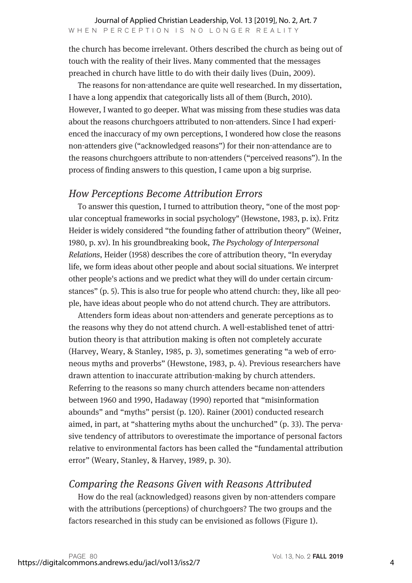the church has become irrelevant. Others described the church as being out of touch with the reality of their lives. Many commented that the messages preached in church have little to do with their daily lives (Duin, 2009).

The reasons for non-attendance are quite well researched. In my dissertation, I have a long appendix that categorically lists all of them (Burch, 2010). However, I wanted to go deeper. What was missing from these studies was data about the reasons churchgoers attributed to non-attenders. Since I had experienced the inaccuracy of my own perceptions, I wondered how close the reasons non-attenders give ("acknowledged reasons") for their non-attendance are to the reasons churchgoers attribute to non-attenders ("perceived reasons"). In the process of finding answers to this question, I came upon a big surprise.

## *How Perceptions Become Attribution Errors*

To answer this question, I turned to attribution theory, "one of the most popular conceptual frameworks in social psychology" (Hewstone, 1983, p. ix). Fritz Heider is widely considered "the founding father of attribution theory" (Weiner, 1980, p. xv). In his groundbreaking book, *The Psychology of Interpersonal Relations*, Heider (1958) describes the core of attribution theory, "In everyday life, we form ideas about other people and about social situations. We interpret other people's actions and we predict what they will do under certain circumstances" (p. 5). This is also true for people who attend church: they, like all people, have ideas about people who do not attend church. They are attributors.

Attenders form ideas about non-attenders and generate perceptions as to the reasons why they do not attend church. A well-established tenet of attribution theory is that attribution making is often not completely accurate (Harvey, Weary, & Stanley, 1985, p. 3), sometimes generating "a web of erroneous myths and proverbs" (Hewstone, 1983, p. 4). Previous researchers have drawn attention to inaccurate attribution-making by church attenders. Referring to the reasons so many church attenders became non-attenders between 1960 and 1990, Hadaway (1990) reported that "misinformation abounds" and "myths" persist (p. 120). Rainer (2001) conducted research aimed, in part, at "shattering myths about the unchurched" (p. 33). The pervasive tendency of attributors to overestimate the importance of personal factors relative to environmental factors has been called the "fundamental attribution error" (Weary, Stanley, & Harvey, 1989, p. 30).

## *Comparing the Reasons Given with Reasons Attributed*

How do the real (acknowledged) reasons given by non-attenders compare with the attributions (perceptions) of churchgoers? The two groups and the factors researched in this study can be envisioned as follows (Figure 1).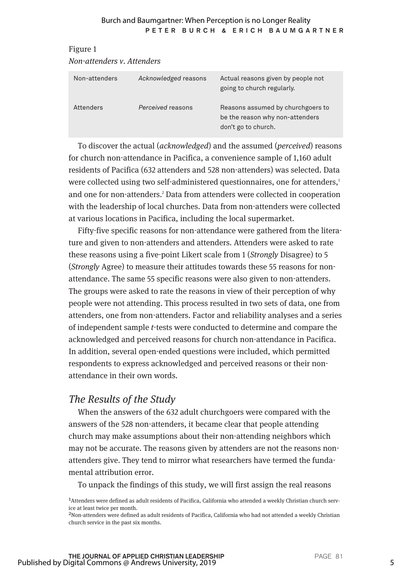| Non-attenders v. Attenders |                      |                                                                                             |  |  |  |
|----------------------------|----------------------|---------------------------------------------------------------------------------------------|--|--|--|
| Non-attenders              | Acknowledged reasons | Actual reasons given by people not<br>going to church regularly.                            |  |  |  |
| <b>Attenders</b>           | Perceived reasons    | Reasons assumed by churchgoers to<br>be the reason why non-attenders<br>don't go to church. |  |  |  |

Figure 1

To discover the actual (*acknowledged*) and the assumed (*perceived*) reasons for church non-attendance in Pacifica, a convenience sample of 1,160 adult residents of Pacifica (632 attenders and 528 non-attenders) was selected. Data were collected using two self-administered questionnaires, one for attenders,<sup>1</sup> and one for non-attenders.<sup>2</sup> Data from attenders were collected in cooperation with the leadership of local churches. Data from non-attenders were collected at various locations in Pacifica, including the local supermarket.

Fifty-five specific reasons for non-attendance were gathered from the literature and given to non-attenders and attenders. Attenders were asked to rate these reasons using a five-point Likert scale from 1 (*Strongly* Disagree) to 5 (*Strongly* Agree) to measure their attitudes towards these 55 reasons for nonattendance. The same 55 specific reasons were also given to non-attenders. The groups were asked to rate the reasons in view of their perception of why people were not attending. This process resulted in two sets of data, one from attenders, one from non-attenders. Factor and reliability analyses and a series of independent sample *t*-tests were conducted to determine and compare the acknowledged and perceived reasons for church non-attendance in Pacifica. In addition, several open-ended questions were included, which permitted respondents to express acknowledged and perceived reasons or their nonattendance in their own words.

## *The Results of the Study*

When the answers of the 632 adult churchgoers were compared with the answers of the 528 non-attenders, it became clear that people attending church may make assumptions about their non-attending neighbors which may not be accurate. The reasons given by attenders are not the reasons nonattenders give. They tend to mirror what researchers have termed the fundamental attribution error.

To unpack the findings of this study, we will first assign the real reasons

<sup>1</sup>Attenders were defined as adult residents of Pacifica, California who attended a weekly Christian church service at least twice per month.

<sup>2</sup>Non-attenders were defined as adult residents of Pacifica, California who had not attended a weekly Christian church service in the past six months.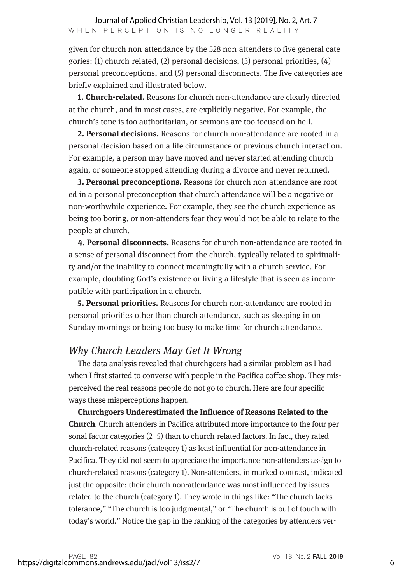given for church non-attendance by the 528 non-attenders to five general categories: (1) church-related, (2) personal decisions, (3) personal priorities, (4) personal preconceptions, and (5) personal disconnects. The five categories are briefly explained and illustrated below.

**1. Church-related.** Reasons for church non-attendance are clearly directed at the church, and in most cases, are explicitly negative. For example, the church's tone is too authoritarian, or sermons are too focused on hell.

**2. Personal decisions.** Reasons for church non-attendance are rooted in a personal decision based on a life circumstance or previous church interaction. For example, a person may have moved and never started attending church again, or someone stopped attending during a divorce and never returned.

**3. Personal preconceptions.** Reasons for church non-attendance are rooted in a personal preconception that church attendance will be a negative or non-worthwhile experience. For example, they see the church experience as being too boring, or non-attenders fear they would not be able to relate to the people at church.

**4. Personal disconnects.** Reasons for church non-attendance are rooted in a sense of personal disconnect from the church, typically related to spirituality and/or the inability to connect meaningfully with a church service. For example, doubting God's existence or living a lifestyle that is seen as incompatible with participation in a church.

**5. Personal priorities.** Reasons for church non-attendance are rooted in personal priorities other than church attendance, such as sleeping in on Sunday mornings or being too busy to make time for church attendance.

## *Why Church Leaders May Get It Wrong*

The data analysis revealed that churchgoers had a similar problem as I had when I first started to converse with people in the Pacifica coffee shop. They misperceived the real reasons people do not go to church. Here are four specific ways these misperceptions happen.

**Churchgoers Underestimated the Influence of Reasons Related to the Church***.* Church attenders in Pacifica attributed more importance to the four personal factor categories (2–5) than to church-related factors. In fact, they rated church-related reasons (category 1) as least influential for non-attendance in Pacifica. They did not seem to appreciate the importance non-attenders assign to church-related reasons (category 1). Non-attenders, in marked contrast, indicated just the opposite: their church non-attendance was most influenced by issues related to the church (category 1). They wrote in things like: "The church lacks tolerance," "The church is too judgmental," or "The church is out of touch with today's world." Notice the gap in the ranking of the categories by attenders ver-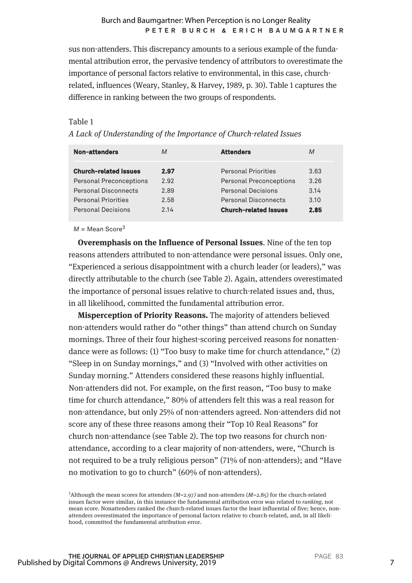sus non-attenders. This discrepancy amounts to a serious example of the fundamental attribution error, the pervasive tendency of attributors to overestimate the importance of personal factors relative to environmental, in this case, churchrelated, influences (Weary, Stanley, & Harvey, 1989, p. 30). Table 1 captures the difference in ranking between the two groups of respondents.

#### Table 1

*A Lack of Understanding of the Importance of Church-related Issues*

| <b>Non-attenders</b>           | M    | <b>Attenders</b>               | M    |
|--------------------------------|------|--------------------------------|------|
| <b>Church-related Issues</b>   | 2.97 | <b>Personal Priorities</b>     | 3.63 |
| <b>Personal Preconceptions</b> | 2.92 | <b>Personal Preconceptions</b> | 3.26 |
| Personal Disconnects           | 2.89 | <b>Personal Decisions</b>      | 3.14 |
| <b>Personal Priorities</b>     | 2.58 | <b>Personal Disconnects</b>    | 3.10 |
| <b>Personal Decisions</b>      | 2.14 | <b>Church-related Issues</b>   | 2.85 |

 $M =$ Mean Score<sup>3</sup>

**Overemphasis on the Influence of Personal Issues**. Nine of the ten top reasons attenders attributed to non-attendance were personal issues. Only one, "Experienced a serious disappointment with a church leader (or leaders)," was directly attributable to the church (see Table 2). Again, attenders overestimated the importance of personal issues relative to church-related issues and, thus, in all likelihood, committed the fundamental attribution error.

**Misperception of Priority Reasons.** The majority of attenders believed non-attenders would rather do "other things" than attend church on Sunday mornings. Three of their four highest-scoring perceived reasons for nonattendance were as follows: (1) "Too busy to make time for church attendance," (2) "Sleep in on Sunday mornings," and (3) "Involved with other activities on Sunday morning." Attenders considered these reasons highly influential. Non-attenders did not. For example, on the first reason, "Too busy to make time for church attendance," 80% of attenders felt this was a real reason for non-attendance, but only 25% of non-attenders agreed. Non-attenders did not score any of these three reasons among their "Top 10 Real Reasons" for church non-attendance (see Table 2). The top two reasons for church nonattendance, according to a clear majority of non-attenders, were, "Church is not required to be a truly religious person" (71% of non-attenders); and "Have no motivation to go to church" (60% of non-attenders).

<sup>3</sup> Although the mean scores for attenders *(M*=2.97*)* and non-attenders (*M*=2.85) for the church-related issues factor were similar, in this instance the fundamental attribution error was related to *ranking,* not mean score. Nonattenders ranked the church-related issues factor the least influential of five; hence, nonattenders overestimated the importance of personal factors relative to church-related, and, in all likelihood, committed the fundamental attribution error.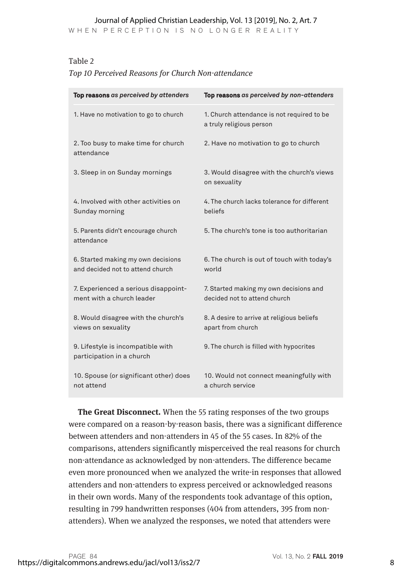#### Journal of Applied Christian Leadership, Vol. 13 [2019], No. 2, Art. 7

WHEN PERCEPTION IS NO LONGER REALITY

#### Table 2

#### *Top 10 Perceived Reasons for Church Non-attendance*

| Top reasons as perceived by attenders                                  | Top reasons as perceived by non-attenders                              |  |
|------------------------------------------------------------------------|------------------------------------------------------------------------|--|
| 1. Have no motivation to go to church                                  | 1. Church attendance is not required to be<br>a truly religious person |  |
| 2. Too busy to make time for church<br>attendance                      | 2. Have no motivation to go to church                                  |  |
| 3. Sleep in on Sunday mornings                                         | 3. Would disagree with the church's views<br>on sexuality              |  |
| 4. Involved with other activities on<br>Sunday morning                 | 4. The church lacks tolerance for different<br>beliefs                 |  |
| 5. Parents didn't encourage church<br>attendance                       | 5. The church's tone is too authoritarian                              |  |
| 6. Started making my own decisions<br>and decided not to attend church | 6. The church is out of touch with today's<br>world                    |  |
| 7. Experienced a serious disappoint-<br>ment with a church leader      | 7. Started making my own decisions and<br>decided not to attend church |  |
| 8. Would disagree with the church's<br>views on sexuality              | 8. A desire to arrive at religious beliefs<br>apart from church        |  |
| 9. Lifestyle is incompatible with<br>participation in a church         | 9. The church is filled with hypocrites                                |  |
| 10. Spouse (or significant other) does<br>not attend                   | 10. Would not connect meaningfully with<br>a church service            |  |

**The Great Disconnect.** When the 55 rating responses of the two groups were compared on a reason-by-reason basis, there was a significant difference between attenders and non-attenders in 45 of the 55 cases. In 82% of the comparisons, attenders significantly misperceived the real reasons for church non-attendance as acknowledged by non-attenders. The difference became even more pronounced when we analyzed the write-in responses that allowed attenders and non-attenders to express perceived or acknowledged reasons in their own words. Many of the respondents took advantage of this option, resulting in 799 handwritten responses (404 from attenders, 395 from nonattenders). When we analyzed the responses, we noted that attenders were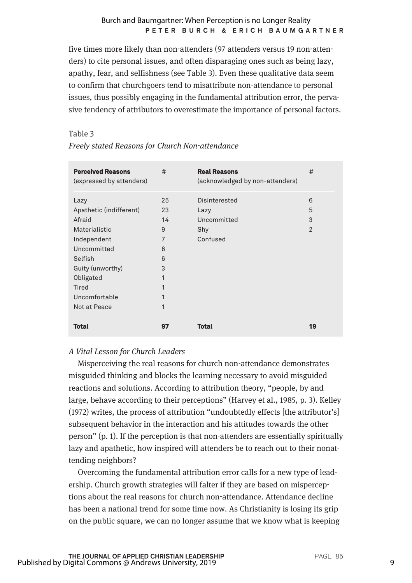five times more likely than non-attenders (97 attenders versus 19 non-attenders) to cite personal issues, and often disparaging ones such as being lazy, apathy, fear, and selfishness (see Table 3). Even these qualitative data seem to confirm that churchgoers tend to misattribute non-attendance to personal issues, thus possibly engaging in the fundamental attribution error, the pervasive tendency of attributors to overestimate the importance of personal factors.

#### Table 3

| <b>Perceived Reasons</b><br>(expressed by attenders)                                                                                                 | #                                                 | <b>Real Reasons</b><br>(acknowledged by non-attenders)  | #                             |
|------------------------------------------------------------------------------------------------------------------------------------------------------|---------------------------------------------------|---------------------------------------------------------|-------------------------------|
| Lazy<br>Apathetic (indifferent)<br>Afraid<br>Materialistic<br>Independent<br>Uncommitted<br>Selfish<br>Guity (unworthy)<br>Obligated<br><b>Tired</b> | 25<br>23<br>14<br>9<br>7<br>6<br>6<br>3<br>1<br>1 | Disinterested<br>Lazy<br>Uncommitted<br>Shy<br>Confused | 6<br>5<br>3<br>$\overline{2}$ |
| Uncomfortable<br>Not at Peace<br>Total                                                                                                               | 1<br>1<br>97                                      | Total                                                   | 19                            |

*Freely stated Reasons for Church Non-attendance*

#### *A Vital Lesson for Church Leaders*

Misperceiving the real reasons for church non-attendance demonstrates misguided thinking and blocks the learning necessary to avoid misguided reactions and solutions. According to attribution theory, "people, by and large, behave according to their perceptions" (Harvey et al., 1985, p. 3). Kelley (1972) writes, the process of attribution "undoubtedly effects [the attributor's] subsequent behavior in the interaction and his attitudes towards the other person" (p. 1). If the perception is that non-attenders are essentially spiritually lazy and apathetic, how inspired will attenders be to reach out to their nonattending neighbors?

Overcoming the fundamental attribution error calls for a new type of leadership. Church growth strategies will falter if they are based on misperceptions about the real reasons for church non-attendance. Attendance decline has been a national trend for some time now. As Christianity is losing its grip on the public square, we can no longer assume that we know what is keeping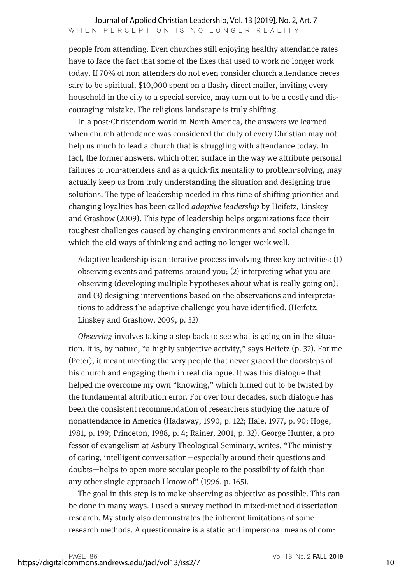people from attending. Even churches still enjoying healthy attendance rates have to face the fact that some of the fixes that used to work no longer work today. If 70% of non-attenders do not even consider church attendance necessary to be spiritual, \$10,000 spent on a flashy direct mailer, inviting every household in the city to a special service, may turn out to be a costly and discouraging mistake. The religious landscape is truly shifting.

In a post-Christendom world in North America, the answers we learned when church attendance was considered the duty of every Christian may not help us much to lead a church that is struggling with attendance today. In fact, the former answers, which often surface in the way we attribute personal failures to non-attenders and as a quick-fix mentality to problem-solving, may actually keep us from truly understanding the situation and designing true solutions. The type of leadership needed in this time of shifting priorities and changing loyalties has been called *adaptive leadership* by Heifetz, Linskey and Grashow (2009). This type of leadership helps organizations face their toughest challenges caused by changing environments and social change in which the old ways of thinking and acting no longer work well.

Adaptive leadership is an iterative process involving three key activities: (1) observing events and patterns around you; (2) interpreting what you are observing (developing multiple hypotheses about what is really going on); and (3) designing interventions based on the observations and interpretations to address the adaptive challenge you have identified. (Heifetz, Linskey and Grashow, 2009, p. 32)

*Observing* involves taking a step back to see what is going on in the situation. It is, by nature, "a highly subjective activity," says Heifetz (p. 32). For me (Peter), it meant meeting the very people that never graced the doorsteps of his church and engaging them in real dialogue. It was this dialogue that helped me overcome my own "knowing," which turned out to be twisted by the fundamental attribution error. For over four decades, such dialogue has been the consistent recommendation of researchers studying the nature of nonattendance in America (Hadaway, 1990, p. 122; Hale, 1977, p. 90; Hoge, 1981, p. 199; Princeton, 1988, p. 4; Rainer, 2001, p. 32). George Hunter, a professor of evangelism at Asbury Theological Seminary, writes, "The ministry of caring, intelligent conversation—especially around their questions and doubts—helps to open more secular people to the possibility of faith than any other single approach I know of" (1996, p. 165).

The goal in this step is to make observing as objective as possible. This can be done in many ways. I used a survey method in mixed-method dissertation research. My study also demonstrates the inherent limitations of some research methods. A questionnaire is a static and impersonal means of com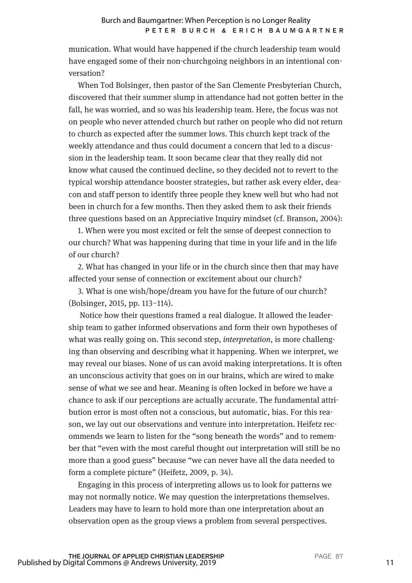munication. What would have happened if the church leadership team would have engaged some of their non-churchgoing neighbors in an intentional conversation?

When Tod Bolsinger, then pastor of the San Clemente Presbyterian Church, discovered that their summer slump in attendance had not gotten better in the fall, he was worried, and so was his leadership team. Here, the focus was not on people who never attended church but rather on people who did not return to church as expected after the summer lows. This church kept track of the weekly attendance and thus could document a concern that led to a discussion in the leadership team. It soon became clear that they really did not know what caused the continued decline, so they decided not to revert to the typical worship attendance booster strategies, but rather ask every elder, deacon and staff person to identify three people they knew well but who had not been in church for a few months. Then they asked them to ask their friends three questions based on an Appreciative Inquiry mindset (cf. Branson, 2004):

1. When were you most excited or felt the sense of deepest connection to our church? What was happening during that time in your life and in the life of our church?

2. What has changed in your life or in the church since then that may have affected your sense of connection or excitement about our church?

3. What is one wish/hope/dream you have for the future of our church? (Bolsinger, 2015, pp. 113–114).

 Notice how their questions framed a real dialogue. It allowed the leadership team to gather informed observations and form their own hypotheses of what was really going on. This second step, *interpretation*, is more challenging than observing and describing what it happening. When we interpret, we may reveal our biases. None of us can avoid making interpretations. It is often an unconscious activity that goes on in our brains, which are wired to make sense of what we see and hear. Meaning is often locked in before we have a chance to ask if our perceptions are actually accurate. The fundamental attribution error is most often not a conscious, but automatic, bias. For this reason, we lay out our observations and venture into interpretation. Heifetz recommends we learn to listen for the "song beneath the words" and to remember that "even with the most careful thought out interpretation will still be no more than a good guess" because "we can never have all the data needed to form a complete picture" (Heifetz, 2009, p. 34).

Engaging in this process of interpreting allows us to look for patterns we may not normally notice. We may question the interpretations themselves. Leaders may have to learn to hold more than one interpretation about an observation open as the group views a problem from several perspectives.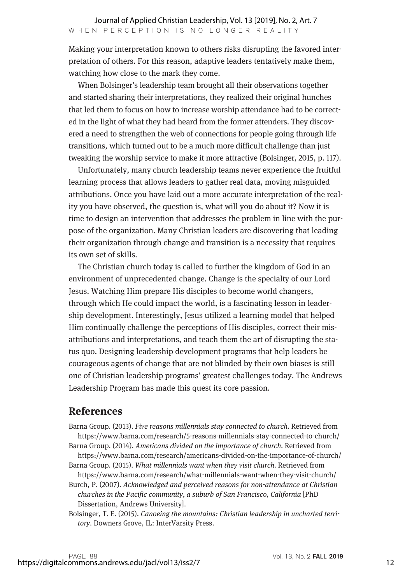Making your interpretation known to others risks disrupting the favored interpretation of others. For this reason, adaptive leaders tentatively make them, watching how close to the mark they come.

When Bolsinger's leadership team brought all their observations together and started sharing their interpretations, they realized their original hunches that led them to focus on how to increase worship attendance had to be corrected in the light of what they had heard from the former attenders. They discovered a need to strengthen the web of connections for people going through life transitions, which turned out to be a much more difficult challenge than just tweaking the worship service to make it more attractive (Bolsinger, 2015, p. 117).

Unfortunately, many church leadership teams never experience the fruitful learning process that allows leaders to gather real data, moving misguided attributions. Once you have laid out a more accurate interpretation of the reality you have observed, the question is, what will you do about it? Now it is time to design an intervention that addresses the problem in line with the purpose of the organization. Many Christian leaders are discovering that leading their organization through change and transition is a necessity that requires its own set of skills.

The Christian church today is called to further the kingdom of God in an environment of unprecedented change. Change is the specialty of our Lord Jesus. Watching Him prepare His disciples to become world changers, through which He could impact the world, is a fascinating lesson in leadership development. Interestingly, Jesus utilized a learning model that helped Him continually challenge the perceptions of His disciples, correct their misattributions and interpretations, and teach them the art of disrupting the status quo. Designing leadership development programs that help leaders be courageous agents of change that are not blinded by their own biases is still one of Christian leadership programs' greatest challenges today. The Andrews Leadership Program has made this quest its core passion.

## **References**

Barna Group. (2013). *Five reasons millennials stay connected to church.* Retrieved from https://www.barna.com/research/5-reasons-millennials-stay-connected-to-church/ Barna Group. (2014). *Americans divided on the importance of church.* Retrieved from

https://www.barna.com/research/americans-divided-on-the-importance-of-church/ Barna Group. (2015). *What millennials want when they visit church.* Retrieved from

https://www.barna.com/research/what-millennials-want-when-they-visit-church/

Burch, P. (2007). *Acknowledged and perceived reasons for non-attendance at Christian churches in the Pacific community, a suburb of San Francisco, California* [PhD Dissertation, Andrews University].

Bolsinger, T. E. (2015). *Canoeing the mountains: Christian leadership in uncharted territory*. Downers Grove, IL: InterVarsity Press.